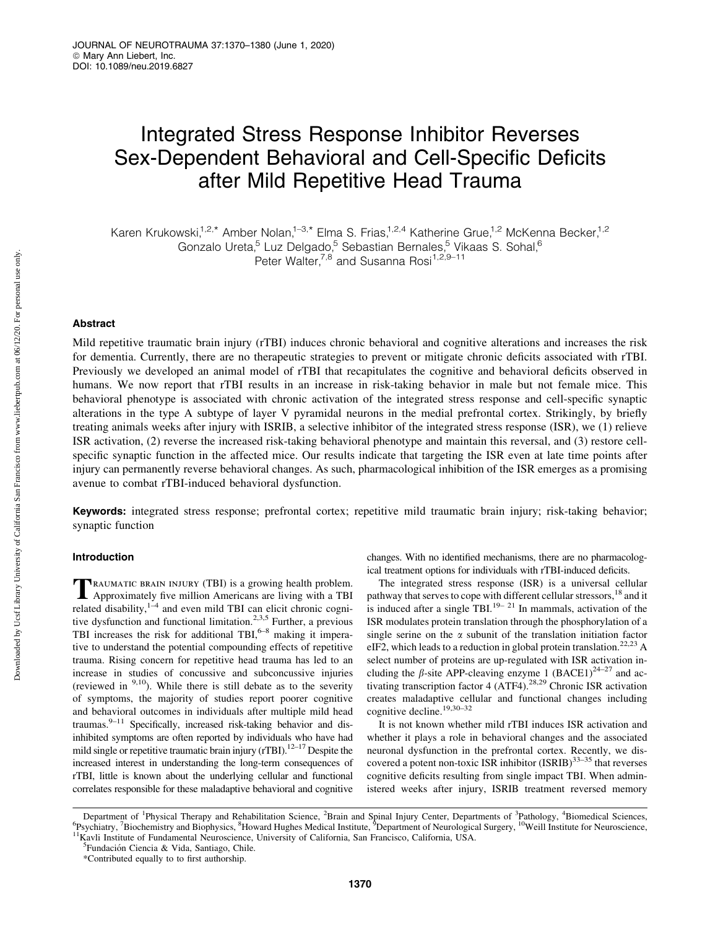# Integrated Stress Response Inhibitor Reverses Sex-Dependent Behavioral and Cell-Specific Deficits after Mild Repetitive Head Trauma

Karen Krukowski,<sup>1,2,\*</sup> Amber Nolan,<sup>1–3,\*</sup> Elma S. Frias,<sup>1,2,4</sup> Katherine Grue,<sup>1,2</sup> McKenna Becker,<sup>1,2</sup> Gonzalo Ureta,<sup>5</sup> Luz Delgado,<sup>5</sup> Sebastian Bernales,<sup>5</sup> Vikaas S. Sohal,<sup>6</sup> Peter Walter,<sup>7,8</sup> and Susanna Rosi<sup>1,2,9-11</sup>

## Abstract

Mild repetitive traumatic brain injury (rTBI) induces chronic behavioral and cognitive alterations and increases the risk for dementia. Currently, there are no therapeutic strategies to prevent or mitigate chronic deficits associated with rTBI. Previously we developed an animal model of rTBI that recapitulates the cognitive and behavioral deficits observed in humans. We now report that rTBI results in an increase in risk-taking behavior in male but not female mice. This behavioral phenotype is associated with chronic activation of the integrated stress response and cell-specific synaptic alterations in the type A subtype of layer V pyramidal neurons in the medial prefrontal cortex. Strikingly, by briefly treating animals weeks after injury with ISRIB, a selective inhibitor of the integrated stress response (ISR), we (1) relieve ISR activation, (2) reverse the increased risk-taking behavioral phenotype and maintain this reversal, and (3) restore cellspecific synaptic function in the affected mice. Our results indicate that targeting the ISR even at late time points after injury can permanently reverse behavioral changes. As such, pharmacological inhibition of the ISR emerges as a promising avenue to combat rTBI-induced behavioral dysfunction.

Keywords: integrated stress response; prefrontal cortex; repetitive mild traumatic brain injury; risk-taking behavior; synaptic function

## Introduction

TRAUMATIC BRAIN INJURY (TBI) is a growing health problem.<br>Approximately five million Americans are living with a TBI related disability, $1/4$  and even mild TBI can elicit chronic cognitive dysfunction and functional limitation.<sup>2,3,5</sup> Further, a previous TBI increases the risk for additional TBI, $6-8$  making it imperative to understand the potential compounding effects of repetitive trauma. Rising concern for repetitive head trauma has led to an increase in studies of concussive and subconcussive injuries (reviewed in  $9,10$ ). While there is still debate as to the severity of symptoms, the majority of studies report poorer cognitive and behavioral outcomes in individuals after multiple mild head traumas. $9-11$  Specifically, increased risk-taking behavior and disinhibited symptoms are often reported by individuals who have had mild single or repetitive traumatic brain injury (rTBI).<sup>12–17</sup> Despite the increased interest in understanding the long-term consequences of rTBI, little is known about the underlying cellular and functional correlates responsible for these maladaptive behavioral and cognitive changes. With no identified mechanisms, there are no pharmacological treatment options for individuals with rTBI-induced deficits.

The integrated stress response (ISR) is a universal cellular pathway that serves to cope with different cellular stressors,<sup>18</sup> and it is induced after a single TBI.<sup>19–21</sup> In mammals, activation of the ISR modulates protein translation through the phosphorylation of a single serine on the  $\alpha$  subunit of the translation initiation factor eIF2, which leads to a reduction in global protein translation.<sup>22,23</sup> A select number of proteins are up-regulated with ISR activation including the  $\beta$ -site APP-cleaving enzyme 1 (BACE1)<sup>24–27</sup> and activating transcription factor 4 (ATF4).<sup>28,29</sup> Chronic ISR activation creates maladaptive cellular and functional changes including cognitive decline.19,30–32

It is not known whether mild rTBI induces ISR activation and whether it plays a role in behavioral changes and the associated neuronal dysfunction in the prefrontal cortex. Recently, we discovered a potent non-toxic ISR inhibitor  $(ISRIB)^{33-35}$  that reverses cognitive deficits resulting from single impact TBI. When administered weeks after injury, ISRIB treatment reversed memory

Department of <sup>1</sup>Physical Therapy and Rehabilitation Science, <sup>2</sup>Brain and Spinal Injury Center, Departments of <sup>3</sup>Pathology, <sup>4</sup>Biomedical Sciences, <sup>6</sup>Peychiotry <sup>7</sup>Riochamistry and Biophysics <sup>8</sup>Howard Hughes Medical In <sup>6</sup>Psychiatry, <sup>7</sup>Biochemistry and Biophysics, <sup>8</sup>Howard Hughes Medical Institute, <sup>9</sup>Department of Neurological Surgery, <sup>10</sup>Weill Institute for Neuroscience, <sup>11</sup>Kavli Institute of Fundamental Neuroscience, University of

<sup>&</sup>lt;sup>5</sup>Fundación Ciencia & Vida, Santiago, Chile.

<sup>\*</sup>Contributed equally to to first authorship.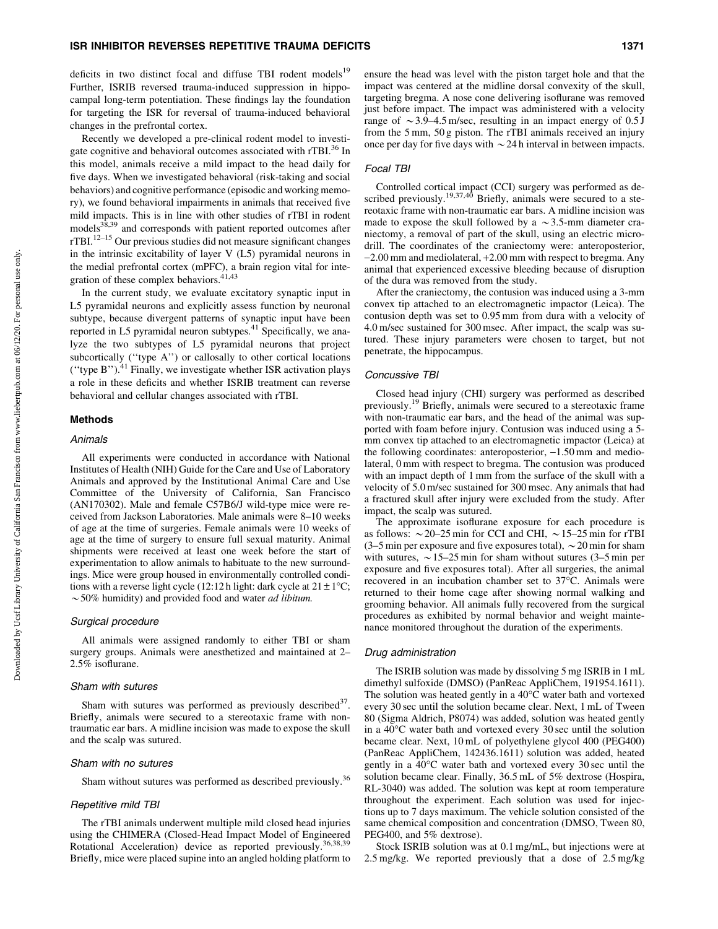deficits in two distinct focal and diffuse TBI rodent models<sup>19</sup> Further, ISRIB reversed trauma-induced suppression in hippocampal long-term potentiation. These findings lay the foundation for targeting the ISR for reversal of trauma-induced behavioral changes in the prefrontal cortex.

Recently we developed a pre-clinical rodent model to investigate cognitive and behavioral outcomes associated with rTBI.<sup>36</sup> In this model, animals receive a mild impact to the head daily for five days. When we investigated behavioral (risk-taking and social behaviors) and cognitive performance (episodic and working memory), we found behavioral impairments in animals that received five mild impacts. This is in line with other studies of rTBI in rodent models<sup>38,39</sup> and corresponds with patient reported outcomes after rTBI.12–15 Our previous studies did not measure significant changes in the intrinsic excitability of layer V (L5) pyramidal neurons in the medial prefrontal cortex (mPFC), a brain region vital for integration of these complex behaviors.<sup>41,43</sup>

In the current study, we evaluate excitatory synaptic input in L5 pyramidal neurons and explicitly assess function by neuronal subtype, because divergent patterns of synaptic input have been reported in L5 pyramidal neuron subtypes.<sup>41</sup> Specifically, we analyze the two subtypes of L5 pyramidal neurons that project subcortically (''type A'') or callosally to other cortical locations (''type B'').<sup>41</sup> Finally, we investigate whether ISR activation plays a role in these deficits and whether ISRIB treatment can reverse behavioral and cellular changes associated with rTBI.

#### Methods

### Animals

All experiments were conducted in accordance with National Institutes of Health (NIH) Guide for the Care and Use of Laboratory Animals and approved by the Institutional Animal Care and Use Committee of the University of California, San Francisco (AN170302). Male and female C57B6/J wild-type mice were received from Jackson Laboratories. Male animals were 8–10 weeks of age at the time of surgeries. Female animals were 10 weeks of age at the time of surgery to ensure full sexual maturity. Animal shipments were received at least one week before the start of experimentation to allow animals to habituate to the new surroundings. Mice were group housed in environmentally controlled conditions with a reverse light cycle (12:12 h light: dark cycle at  $21 \pm 1^{\circ}$ C;  $\sim$  50% humidity) and provided food and water *ad libitum*.

#### Surgical procedure

All animals were assigned randomly to either TBI or sham surgery groups. Animals were anesthetized and maintained at 2– 2.5% isoflurane.

#### Sham with sutures

Sham with sutures was performed as previously described  $37$ . Briefly, animals were secured to a stereotaxic frame with nontraumatic ear bars. A midline incision was made to expose the skull and the scalp was sutured.

#### Sham with no sutures

Sham without sutures was performed as described previously.<sup>36</sup>

#### Repetitive mild TBI

The rTBI animals underwent multiple mild closed head injuries using the CHIMERA (Closed-Head Impact Model of Engineered Rotational Acceleration) device as reported previously.<sup>36,38,39</sup> Briefly, mice were placed supine into an angled holding platform to ensure the head was level with the piston target hole and that the impact was centered at the midline dorsal convexity of the skull, targeting bregma. A nose cone delivering isoflurane was removed just before impact. The impact was administered with a velocity range of  $\sim$  3.9–4.5 m/sec, resulting in an impact energy of 0.5 J from the 5 mm, 50 g piston. The rTBI animals received an injury once per day for five days with  $\sim$  24 h interval in between impacts.

## Focal TBI

Controlled cortical impact (CCI) surgery was performed as described previously.<sup>19,37,40</sup> Briefly, animals were secured to a stereotaxic frame with non-traumatic ear bars. A midline incision was made to expose the skull followed by a  $\sim$ 3.5-mm diameter craniectomy, a removal of part of the skull, using an electric microdrill. The coordinates of the craniectomy were: anteroposterior, -2.00 mm and mediolateral, +2.00 mm with respect to bregma. Any animal that experienced excessive bleeding because of disruption of the dura was removed from the study.

After the craniectomy, the contusion was induced using a 3-mm convex tip attached to an electromagnetic impactor (Leica). The contusion depth was set to 0.95 mm from dura with a velocity of 4.0 m/sec sustained for 300 msec. After impact, the scalp was sutured. These injury parameters were chosen to target, but not penetrate, the hippocampus.

#### Concussive TBI

Closed head injury (CHI) surgery was performed as described previously.19 Briefly, animals were secured to a stereotaxic frame with non-traumatic ear bars, and the head of the animal was supported with foam before injury. Contusion was induced using a 5 mm convex tip attached to an electromagnetic impactor (Leica) at the following coordinates: anteroposterior,  $-1.50$  mm and mediolateral, 0 mm with respect to bregma. The contusion was produced with an impact depth of 1 mm from the surface of the skull with a velocity of 5.0 m/sec sustained for 300 msec. Any animals that had a fractured skull after injury were excluded from the study. After impact, the scalp was sutured.

The approximate isoflurane exposure for each procedure is as follows:  $\sim$  20–25 min for CCI and CHI,  $\sim$  15–25 min for rTBI (3–5 min per exposure and five exposures total),  $\sim$  20 min for sham with sutures,  $\sim$  15–25 min for sham without sutures (3–5 min per exposure and five exposures total). After all surgeries, the animal recovered in an incubation chamber set to 37°C. Animals were returned to their home cage after showing normal walking and grooming behavior. All animals fully recovered from the surgical procedures as exhibited by normal behavior and weight maintenance monitored throughout the duration of the experiments.

#### Drug administration

The ISRIB solution was made by dissolving 5 mg ISRIB in 1 mL dimethyl sulfoxide (DMSO) (PanReac AppliChem, 191954.1611). The solution was heated gently in a  $40^{\circ}$ C water bath and vortexed every 30 sec until the solution became clear. Next, 1 mL of Tween 80 (Sigma Aldrich, P8074) was added, solution was heated gently in a 40°C water bath and vortexed every 30 sec until the solution became clear. Next, 10 mL of polyethylene glycol 400 (PEG400) (PanReac AppliChem, 142436.1611) solution was added, heated gently in a 40°C water bath and vortexed every 30 sec until the solution became clear. Finally, 36.5 mL of 5% dextrose (Hospira, RL-3040) was added. The solution was kept at room temperature throughout the experiment. Each solution was used for injections up to 7 days maximum. The vehicle solution consisted of the same chemical composition and concentration (DMSO, Tween 80, PEG400, and 5% dextrose).

Stock ISRIB solution was at 0.1 mg/mL, but injections were at 2.5 mg/kg. We reported previously that a dose of 2.5 mg/kg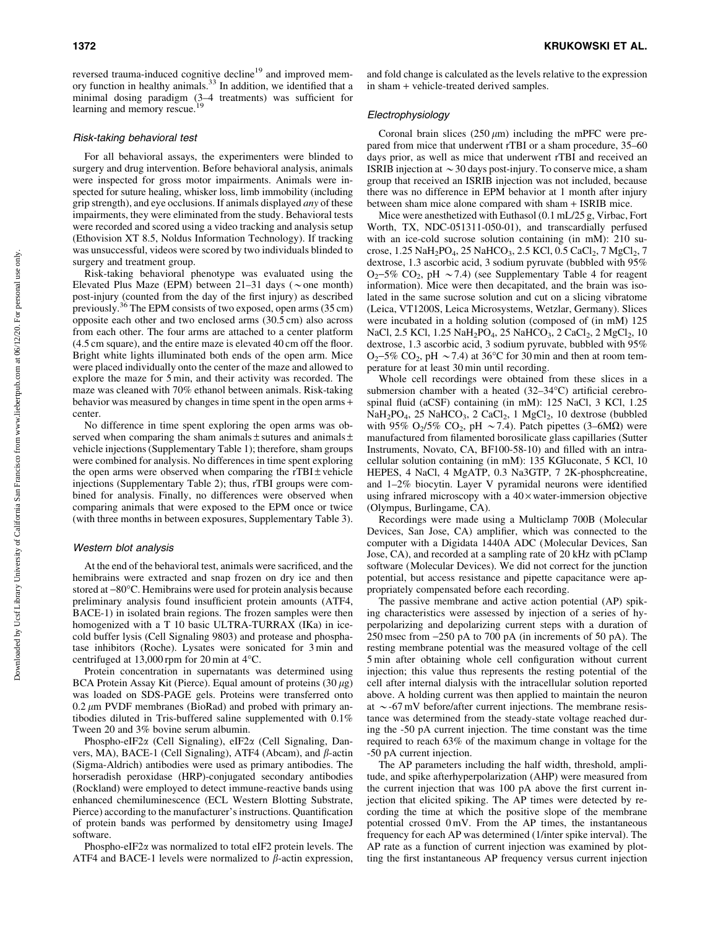reversed trauma-induced cognitive decline<sup>19</sup> and improved memory function in healthy animals.<sup>33</sup> In addition, we identified that a minimal dosing paradigm  $(3-4$  treatments) was sufficient for learning and memory rescue.<sup>19</sup>

#### Risk-taking behavioral test

For all behavioral assays, the experimenters were blinded to surgery and drug intervention. Before behavioral analysis, animals were inspected for gross motor impairments. Animals were inspected for suture healing, whisker loss, limb immobility (including grip strength), and eye occlusions. If animals displayed *any* of these impairments, they were eliminated from the study. Behavioral tests were recorded and scored using a video tracking and analysis setup (Ethovision XT 8.5, Noldus Information Technology). If tracking was unsuccessful, videos were scored by two individuals blinded to surgery and treatment group.

Risk-taking behavioral phenotype was evaluated using the Elevated Plus Maze (EPM) between  $21-31$  days ( $\sim$  one month) post-injury (counted from the day of the first injury) as described previously.36 The EPM consists of two exposed, open arms (35 cm) opposite each other and two enclosed arms (30.5 cm) also across from each other. The four arms are attached to a center platform (4.5 cm square), and the entire maze is elevated 40 cm off the floor. Bright white lights illuminated both ends of the open arm. Mice were placed individually onto the center of the maze and allowed to explore the maze for 5 min, and their activity was recorded. The maze was cleaned with 70% ethanol between animals. Risk-taking behavior was measured by changes in time spent in the open arms + center.

No difference in time spent exploring the open arms was observed when comparing the sham animals  $\pm$  sutures and animals  $\pm$ vehicle injections (Supplementary Table 1); therefore, sham groups were combined for analysis. No differences in time spent exploring the open arms were observed when comparing the  $rTBI \pm$  vehicle injections (Supplementary Table 2); thus, rTBI groups were combined for analysis. Finally, no differences were observed when comparing animals that were exposed to the EPM once or twice (with three months in between exposures, Supplementary Table 3).

## Western blot analysis

At the end of the behavioral test, animals were sacrificed, and the hemibrains were extracted and snap frozen on dry ice and then stored at -80°C. Hemibrains were used for protein analysis because preliminary analysis found insufficient protein amounts (ATF4, BACE-1) in isolated brain regions. The frozen samples were then homogenized with a T 10 basic ULTRA-TURRAX (IKa) in icecold buffer lysis (Cell Signaling 9803) and protease and phosphatase inhibitors (Roche). Lysates were sonicated for 3 min and centrifuged at  $13,000$  rpm for 20 min at  $4^{\circ}$ C.

Protein concentration in supernatants was determined using BCA Protein Assay Kit (Pierce). Equal amount of proteins  $(30 \mu g)$ was loaded on SDS-PAGE gels. Proteins were transferred onto  $0.2 \mu$ m PVDF membranes (BioRad) and probed with primary antibodies diluted in Tris-buffered saline supplemented with 0.1% Tween 20 and 3% bovine serum albumin.

Phospho-eIF2a (Cell Signaling), eIF2a (Cell Signaling, Danvers, MA), BACE-1 (Cell Signaling), ATF4 (Abcam), and  $\beta$ -actin (Sigma-Aldrich) antibodies were used as primary antibodies. The horseradish peroxidase (HRP)-conjugated secondary antibodies (Rockland) were employed to detect immune-reactive bands using enhanced chemiluminescence (ECL Western Blotting Substrate, Pierce) according to the manufacturer's instructions. Quantification of protein bands was performed by densitometry using ImageJ software.

Phospho-eIF2 $\alpha$  was normalized to total eIF2 protein levels. The ATF4 and BACE-1 levels were normalized to  $\beta$ -actin expression, and fold change is calculated as the levels relative to the expression in sham + vehicle-treated derived samples.

## Electrophysiology

Coronal brain slices  $(250 \mu m)$  including the mPFC were prepared from mice that underwent rTBI or a sham procedure, 35–60 days prior, as well as mice that underwent rTBI and received an ISRIB injection at  $\sim$  30 days post-injury. To conserve mice, a sham group that received an ISRIB injection was not included, because there was no difference in EPM behavior at 1 month after injury between sham mice alone compared with sham + ISRIB mice.

Mice were anesthetized with Euthasol (0.1 mL/25 g, Virbac, Fort Worth, TX, NDC-051311-050-01), and transcardially perfused with an ice-cold sucrose solution containing (in mM): 210 sucrose,  $1.25 \text{ NaH}_2\text{PO}_4$ ,  $25 \text{ NaHCO}_3$ ,  $2.5 \text{ KCl}$ ,  $0.5 \text{ CaCl}_2$ ,  $7 \text{ MgCl}_2$ ,  $7$ dextrose, 1.3 ascorbic acid, 3 sodium pyruvate (bubbled with 95%  $O_2$ –5% CO<sub>2</sub>, pH ~7.4) (see Supplementary Table 4 for reagent information). Mice were then decapitated, and the brain was isolated in the same sucrose solution and cut on a slicing vibratome (Leica, VT1200S, Leica Microsystems, Wetzlar, Germany). Slices were incubated in a holding solution (composed of (in mM) 125 NaCl, 2.5 KCl, 1.25 NaH<sub>2</sub>PO<sub>4</sub>, 25 NaHCO<sub>3</sub>, 2 CaCl<sub>2</sub>, 2 MgCl<sub>2</sub>, 10 dextrose, 1.3 ascorbic acid, 3 sodium pyruvate, bubbled with 95%  $O_2$ –5% CO<sub>2</sub>, pH ~7.4) at 36°C for 30 min and then at room temperature for at least 30 min until recording.

Whole cell recordings were obtained from these slices in a submersion chamber with a heated  $(32-34^{\circ}C)$  artificial cerebrospinal fluid (aCSF) containing (in mM): 125 NaCl, 3 KCl, 1.25  $NaH<sub>2</sub>PO<sub>4</sub>$ , 25 NaHCO<sub>3</sub>, 2 CaCl<sub>2</sub>, 1 MgCl<sub>2</sub>, 10 dextrose (bubbled with 95% O<sub>2</sub>/5% CO<sub>2</sub>, pH ~7.4). Patch pipettes (3–6M $\Omega$ ) were manufactured from filamented borosilicate glass capillaries (Sutter Instruments, Novato, CA, BF100-58-10) and filled with an intracellular solution containing (in mM): 135 KGluconate, 5 KCl, 10 HEPES, 4 NaCl, 4 MgATP, 0.3 Na3GTP, 7 2K-phosphcreatine, and 1–2% biocytin. Layer V pyramidal neurons were identified using infrared microscopy with a  $40 \times$  water-immersion objective (Olympus, Burlingame, CA).

Recordings were made using a Multiclamp 700B (Molecular Devices, San Jose, CA) amplifier, which was connected to the computer with a Digidata 1440A ADC (Molecular Devices, San Jose, CA), and recorded at a sampling rate of 20 kHz with pClamp software (Molecular Devices). We did not correct for the junction potential, but access resistance and pipette capacitance were appropriately compensated before each recording.

The passive membrane and active action potential (AP) spiking characteristics were assessed by injection of a series of hyperpolarizing and depolarizing current steps with a duration of 250 msec from -250 pA to 700 pA (in increments of 50 pA). The resting membrane potential was the measured voltage of the cell 5 min after obtaining whole cell configuration without current injection; this value thus represents the resting potential of the cell after internal dialysis with the intracellular solution reported above. A holding current was then applied to maintain the neuron at  $\sim$ -67 mV before/after current injections. The membrane resistance was determined from the steady-state voltage reached during the -50 pA current injection. The time constant was the time required to reach 63% of the maximum change in voltage for the -50 pA current injection.

The AP parameters including the half width, threshold, amplitude, and spike afterhyperpolarization (AHP) were measured from the current injection that was 100 pA above the first current injection that elicited spiking. The AP times were detected by recording the time at which the positive slope of the membrane potential crossed 0 mV. From the AP times, the instantaneous frequency for each AP was determined (1/inter spike interval). The AP rate as a function of current injection was examined by plotting the first instantaneous AP frequency versus current injection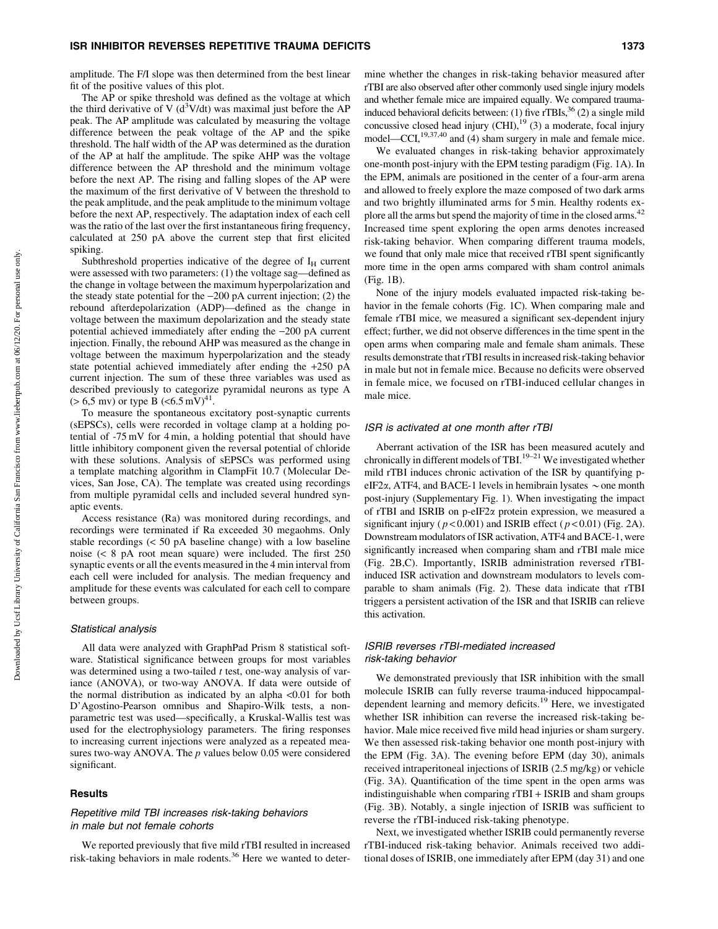amplitude. The F/I slope was then determined from the best linear fit of the positive values of this plot.

The AP or spike threshold was defined as the voltage at which the third derivative of V  $(d^3V/dt)$  was maximal just before the AP peak. The AP amplitude was calculated by measuring the voltage difference between the peak voltage of the AP and the spike threshold. The half width of the AP was determined as the duration of the AP at half the amplitude. The spike AHP was the voltage difference between the AP threshold and the minimum voltage before the next AP. The rising and falling slopes of the AP were the maximum of the first derivative of V between the threshold to the peak amplitude, and the peak amplitude to the minimum voltage before the next AP, respectively. The adaptation index of each cell was the ratio of the last over the first instantaneous firing frequency, calculated at 250 pA above the current step that first elicited spiking.

Subthreshold properties indicative of the degree of  $I_H$  current were assessed with two parameters: (1) the voltage sag—defined as the change in voltage between the maximum hyperpolarization and the steady state potential for the  $-200$  pA current injection; (2) the rebound afterdepolarization (ADP)—defined as the change in voltage between the maximum depolarization and the steady state potential achieved immediately after ending the -200 pA current injection. Finally, the rebound AHP was measured as the change in voltage between the maximum hyperpolarization and the steady state potential achieved immediately after ending the +250 pA current injection. The sum of these three variables was used as described previously to categorize pyramidal neurons as type A  $(> 6.5 \text{ mv})$  or type B  $(< 6.5 \text{ mV})^{41}$ .

To measure the spontaneous excitatory post-synaptic currents (sEPSCs), cells were recorded in voltage clamp at a holding potential of -75 mV for 4 min, a holding potential that should have little inhibitory component given the reversal potential of chloride with these solutions. Analysis of sEPSCs was performed using a template matching algorithm in ClampFit 10.7 (Molecular Devices, San Jose, CA). The template was created using recordings from multiple pyramidal cells and included several hundred synaptic events.

Access resistance (Ra) was monitored during recordings, and recordings were terminated if Ra exceeded 30 megaohms. Only stable recordings (< 50 pA baseline change) with a low baseline noise (< 8 pA root mean square) were included. The first 250 synaptic events or all the events measured in the 4 min interval from each cell were included for analysis. The median frequency and amplitude for these events was calculated for each cell to compare between groups.

#### Statistical analysis

All data were analyzed with GraphPad Prism 8 statistical software. Statistical significance between groups for most variables was determined using a two-tailed  $t$  test, one-way analysis of variance (ANOVA), or two-way ANOVA. If data were outside of the normal distribution as indicated by an alpha <0.01 for both D'Agostino-Pearson omnibus and Shapiro-Wilk tests, a nonparametric test was used—specifically, a Kruskal-Wallis test was used for the electrophysiology parameters. The firing responses to increasing current injections were analyzed as a repeated measures two-way ANOVA. The  $p$  values below 0.05 were considered significant.

#### Results

## Repetitive mild TBI increases risk-taking behaviors in male but not female cohorts

We reported previously that five mild rTBI resulted in increased risk-taking behaviors in male rodents.<sup>36</sup> Here we wanted to determine whether the changes in risk-taking behavior measured after rTBI are also observed after other commonly used single injury models and whether female mice are impaired equally. We compared traumainduced behavioral deficits between: (1) five  $rTBLs<sup>36</sup>$  (2) a single mild concussive closed head injury  $\text{(CHI)}$ ,<sup>19</sup> (3) a moderate, focal injury model—CCI,<sup>19,37,40</sup> and (4) sham surgery in male and female mice.

We evaluated changes in risk-taking behavior approximately one-month post-injury with the EPM testing paradigm (Fig. 1A). In the EPM, animals are positioned in the center of a four-arm arena and allowed to freely explore the maze composed of two dark arms and two brightly illuminated arms for 5 min. Healthy rodents explore all the arms but spend the majority of time in the closed arms.<sup>42</sup> Increased time spent exploring the open arms denotes increased risk-taking behavior. When comparing different trauma models, we found that only male mice that received rTBI spent significantly more time in the open arms compared with sham control animals (Fig. 1B).

None of the injury models evaluated impacted risk-taking behavior in the female cohorts (Fig. 1C). When comparing male and female rTBI mice, we measured a significant sex-dependent injury effect; further, we did not observe differences in the time spent in the open arms when comparing male and female sham animals. These results demonstrate that rTBI results in increased risk-taking behavior in male but not in female mice. Because no deficits were observed in female mice, we focused on rTBI-induced cellular changes in male mice.

## ISR is activated at one month after rTBI

Aberrant activation of the ISR has been measured acutely and chronically in different models of TBI.<sup>19–21</sup> We investigated whether mild rTBI induces chronic activation of the ISR by quantifying peIF2 $\alpha$ , ATF4, and BACE-1 levels in hemibrain lysates  $\sim$  one month post-injury (Supplementary Fig. 1). When investigating the impact of rTBI and ISRIB on p-eIF2a protein expression, we measured a significant injury ( $p < 0.001$ ) and ISRIB effect ( $p < 0.01$ ) (Fig. 2A). Downstream modulators of ISR activation, ATF4 and BACE-1, were significantly increased when comparing sham and rTBI male mice (Fig. 2B,C). Importantly, ISRIB administration reversed rTBIinduced ISR activation and downstream modulators to levels comparable to sham animals (Fig. 2). These data indicate that rTBI triggers a persistent activation of the ISR and that ISRIB can relieve this activation.

## ISRIB reverses rTBI-mediated increased risk-taking behavior

We demonstrated previously that ISR inhibition with the small molecule ISRIB can fully reverse trauma-induced hippocampaldependent learning and memory deficits.<sup>19</sup> Here, we investigated whether ISR inhibition can reverse the increased risk-taking behavior. Male mice received five mild head injuries or sham surgery. We then assessed risk-taking behavior one month post-injury with the EPM (Fig. 3A). The evening before EPM (day 30), animals received intraperitoneal injections of ISRIB (2.5 mg/kg) or vehicle (Fig. 3A). Quantification of the time spent in the open arms was indistinguishable when comparing rTBI + ISRIB and sham groups (Fig. 3B). Notably, a single injection of ISRIB was sufficient to reverse the rTBI-induced risk-taking phenotype.

Next, we investigated whether ISRIB could permanently reverse rTBI-induced risk-taking behavior. Animals received two additional doses of ISRIB, one immediately after EPM (day 31) and one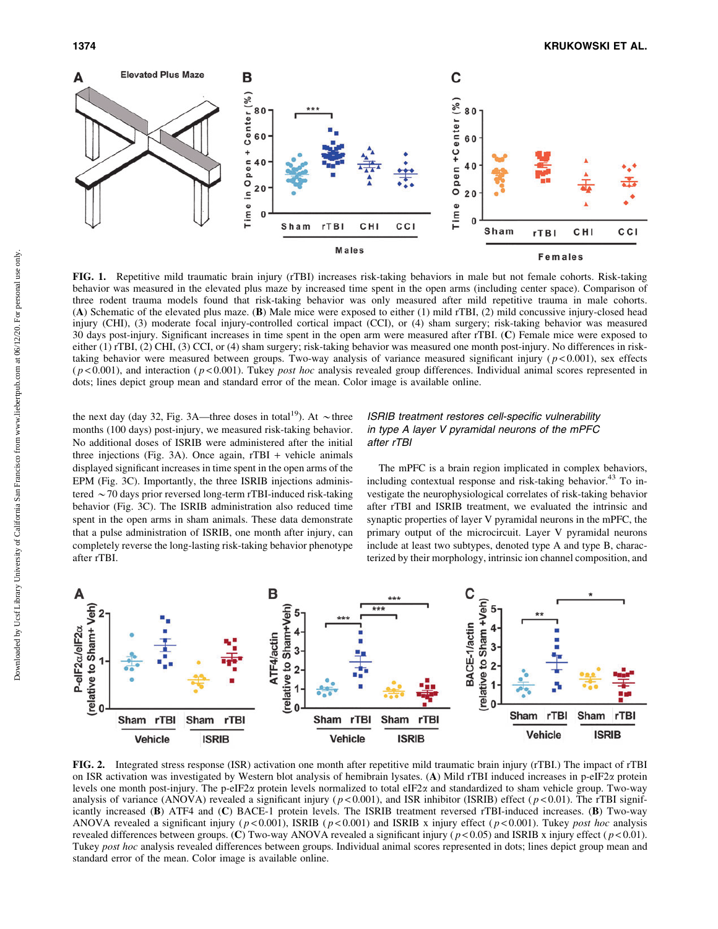

FIG. 1. Repetitive mild traumatic brain injury (rTBI) increases risk-taking behaviors in male but not female cohorts. Risk-taking behavior was measured in the elevated plus maze by increased time spent in the open arms (including center space). Comparison of three rodent trauma models found that risk-taking behavior was only measured after mild repetitive trauma in male cohorts. (A) Schematic of the elevated plus maze. (B) Male mice were exposed to either (1) mild rTBI, (2) mild concussive injury-closed head injury (CHI), (3) moderate focal injury-controlled cortical impact (CCI), or (4) sham surgery; risk-taking behavior was measured 30 days post-injury. Significant increases in time spent in the open arm were measured after rTBI. (C) Female mice were exposed to either (1) rTBI, (2) CHI, (3) CCI, or (4) sham surgery; risk-taking behavior was measured one month post-injury. No differences in risktaking behavior were measured between groups. Two-way analysis of variance measured significant injury ( $p < 0.001$ ), sex effects  $(p<0.001)$ , and interaction  $(p<0.001)$ . Tukey *post hoc* analysis revealed group differences. Individual animal scores represented in dots; lines depict group mean and standard error of the mean. Color image is available online.

the next day (day 32, Fig. 3A—three doses in total<sup>19</sup>). At  $\sim$  three months (100 days) post-injury, we measured risk-taking behavior. No additional doses of ISRIB were administered after the initial three injections (Fig. 3A). Once again,  $rTBI +$  vehicle animals displayed significant increases in time spent in the open arms of the EPM (Fig. 3C). Importantly, the three ISRIB injections administered  $\sim$  70 days prior reversed long-term rTBI-induced risk-taking behavior (Fig. 3C). The ISRIB administration also reduced time spent in the open arms in sham animals. These data demonstrate that a pulse administration of ISRIB, one month after injury, can completely reverse the long-lasting risk-taking behavior phenotype after rTBI.

# ISRIB treatment restores cell-specific vulnerability in type A layer V pyramidal neurons of the mPFC after rTBI

The mPFC is a brain region implicated in complex behaviors, including contextual response and risk-taking behavior.<sup>43</sup> To investigate the neurophysiological correlates of risk-taking behavior after rTBI and ISRIB treatment, we evaluated the intrinsic and synaptic properties of layer V pyramidal neurons in the mPFC, the primary output of the microcircuit. Layer V pyramidal neurons include at least two subtypes, denoted type A and type B, characterized by their morphology, intrinsic ion channel composition, and



FIG. 2. Integrated stress response (ISR) activation one month after repetitive mild traumatic brain injury (rTBI.) The impact of rTBI on ISR activation was investigated by Western blot analysis of hemibrain lysates. (A) Mild rTBI induced increases in p-eIF2a protein levels one month post-injury. The p-eIF2a protein levels normalized to total eIF2a and standardized to sham vehicle group. Two-way analysis of variance (ANOVA) revealed a significant injury ( $p < 0.001$ ), and ISR inhibitor (ISRIB) effect ( $p < 0.01$ ). The rTBI significantly increased (B) ATF4 and (C) BACE-1 protein levels. The ISRIB treatment reversed rTBI-induced increases. (B) Two-way ANOVA revealed a significant injury ( $p < 0.001$ ), ISRIB ( $p < 0.001$ ) and ISRIB x injury effect ( $p < 0.001$ ). Tukey post hoc analysis revealed differences between groups. (C) Two-way ANOVA revealed a significant injury ( $p$  < 0.05) and ISRIB x injury effect ( $p$  < 0.01). Tukey post hoc analysis revealed differences between groups. Individual animal scores represented in dots; lines depict group mean and standard error of the mean. Color image is available online.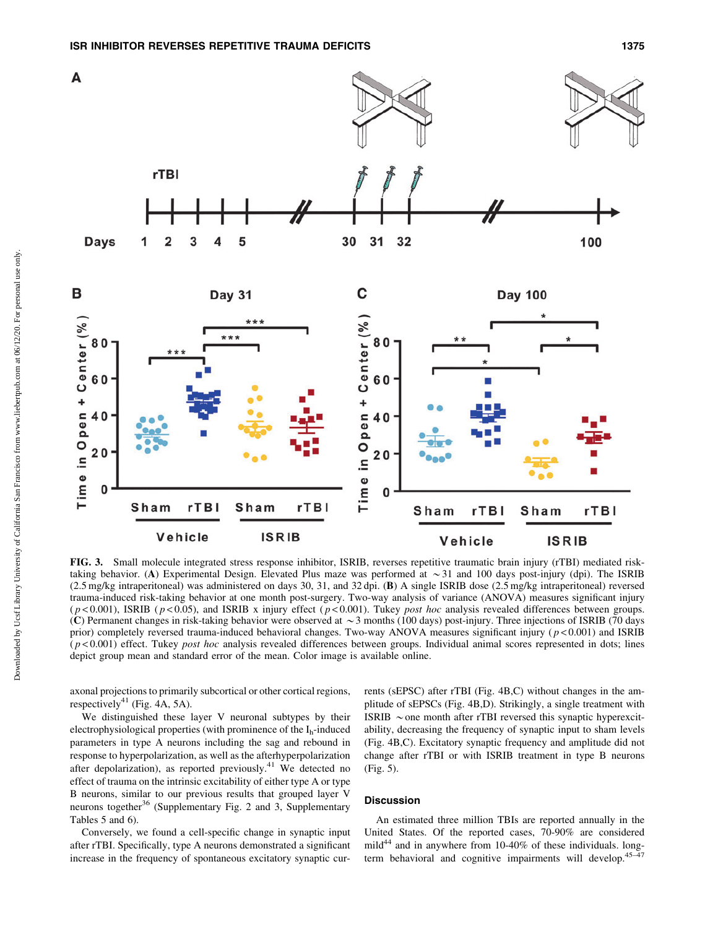

FIG. 3. Small molecule integrated stress response inhibitor, ISRIB, reverses repetitive traumatic brain injury (rTBI) mediated risktaking behavior. (A) Experimental Design. Elevated Plus maze was performed at  $\sim$  31 and 100 days post-injury (dpi). The ISRIB (2.5 mg/kg intraperitoneal) was administered on days 30, 31, and 32 dpi. (B) A single ISRIB dose (2.5 mg/kg intraperitoneal) reversed trauma-induced risk-taking behavior at one month post-surgery. Two-way analysis of variance (ANOVA) measures significant injury  $(p < 0.001)$ , ISRIB ( $p < 0.05$ ), and ISRIB x injury effect ( $p < 0.001$ ). Tukey post hoc analysis revealed differences between groups. (C) Permanent changes in risk-taking behavior were observed at  $\sim$  3 months (100 days) post-injury. Three injections of ISRIB (70 days) prior) completely reversed trauma-induced behavioral changes. Two-way ANOVA measures significant injury ( $p$  < 0.001) and ISRIB  $(p<0.001)$  effect. Tukey *post hoc* analysis revealed differences between groups. Individual animal scores represented in dots; lines depict group mean and standard error of the mean. Color image is available online.

axonal projections to primarily subcortical or other cortical regions, respectively<sup>41</sup> (Fig. 4A, 5A).

We distinguished these layer V neuronal subtypes by their electrophysiological properties (with prominence of the  $I_h$ -induced parameters in type A neurons including the sag and rebound in response to hyperpolarization, as well as the afterhyperpolarization after depolarization), as reported previously.<sup>41</sup> We detected no effect of trauma on the intrinsic excitability of either type A or type B neurons, similar to our previous results that grouped layer V neurons together $36$  (Supplementary Fig. 2 and 3, Supplementary Tables 5 and 6).

Conversely, we found a cell-specific change in synaptic input after rTBI. Specifically, type A neurons demonstrated a significant increase in the frequency of spontaneous excitatory synaptic currents (sEPSC) after rTBI (Fig. 4B,C) without changes in the amplitude of sEPSCs (Fig. 4B,D). Strikingly, a single treatment with ISRIB  $\sim$  one month after rTBI reversed this synaptic hyperexcitability, decreasing the frequency of synaptic input to sham levels (Fig. 4B,C). Excitatory synaptic frequency and amplitude did not change after rTBI or with ISRIB treatment in type B neurons (Fig. 5).

# Discussion

An estimated three million TBIs are reported annually in the United States. Of the reported cases, 70-90% are considered mild $44$  and in anywhere from 10-40% of these individuals. longterm behavioral and cognitive impairments will develop.<sup>45–47</sup>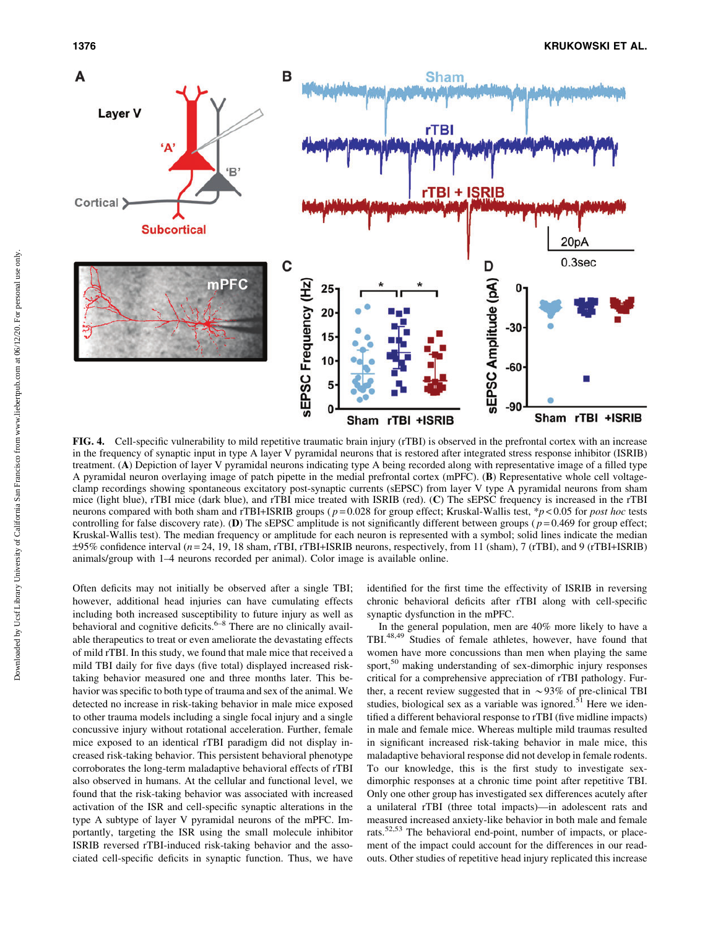

FIG. 4. Cell-specific vulnerability to mild repetitive traumatic brain injury (rTBI) is observed in the prefrontal cortex with an increase in the frequency of synaptic input in type A layer V pyramidal neurons that is restored after integrated stress response inhibitor (ISRIB) treatment. (A) Depiction of layer V pyramidal neurons indicating type A being recorded along with representative image of a filled type A pyramidal neuron overlaying image of patch pipette in the medial prefrontal cortex (mPFC). (B) Representative whole cell voltageclamp recordings showing spontaneous excitatory post-synaptic currents (sEPSC) from layer V type A pyramidal neurons from sham mice (light blue), rTBI mice (dark blue), and rTBI mice treated with ISRIB (red). (C) The sEPSC frequency is increased in the rTBI neurons compared with both sham and rTBI+ISRIB groups ( $p = 0.028$  for group effect; Kruskal-Wallis test, \*p < 0.05 for post hoc tests controlling for false discovery rate). (D) The sEPSC amplitude is not significantly different between groups ( $p = 0.469$  for group effect; Kruskal-Wallis test). The median frequency or amplitude for each neuron is represented with a symbol; solid lines indicate the median  $\pm$ 95% confidence interval (n=24, 19, 18 sham, rTBI, rTBI+ISRIB neurons, respectively, from 11 (sham), 7 (rTBI), and 9 (rTBI+ISRIB) animals/group with 1–4 neurons recorded per animal). Color image is available online.

Often deficits may not initially be observed after a single TBI; however, additional head injuries can have cumulating effects including both increased susceptibility to future injury as well as behavioral and cognitive deficits.<sup>6–8</sup> There are no clinically available therapeutics to treat or even ameliorate the devastating effects of mild rTBI. In this study, we found that male mice that received a mild TBI daily for five days (five total) displayed increased risktaking behavior measured one and three months later. This behavior was specific to both type of trauma and sex of the animal. We detected no increase in risk-taking behavior in male mice exposed to other trauma models including a single focal injury and a single concussive injury without rotational acceleration. Further, female mice exposed to an identical rTBI paradigm did not display increased risk-taking behavior. This persistent behavioral phenotype corroborates the long-term maladaptive behavioral effects of rTBI also observed in humans. At the cellular and functional level, we found that the risk-taking behavior was associated with increased activation of the ISR and cell-specific synaptic alterations in the type A subtype of layer V pyramidal neurons of the mPFC. Importantly, targeting the ISR using the small molecule inhibitor ISRIB reversed rTBI-induced risk-taking behavior and the associated cell-specific deficits in synaptic function. Thus, we have identified for the first time the effectivity of ISRIB in reversing chronic behavioral deficits after rTBI along with cell-specific synaptic dysfunction in the mPFC.

In the general population, men are 40% more likely to have a TBI.48,49 Studies of female athletes, however, have found that women have more concussions than men when playing the same sport,<sup>50</sup> making understanding of sex-dimorphic injury responses critical for a comprehensive appreciation of rTBI pathology. Further, a recent review suggested that in  $\sim$ 93% of pre-clinical TBI studies, biological sex as a variable was ignored.<sup>51</sup> Here we identified a different behavioral response to rTBI (five midline impacts) in male and female mice. Whereas multiple mild traumas resulted in significant increased risk-taking behavior in male mice, this maladaptive behavioral response did not develop in female rodents. To our knowledge, this is the first study to investigate sexdimorphic responses at a chronic time point after repetitive TBI. Only one other group has investigated sex differences acutely after a unilateral rTBI (three total impacts)—in adolescent rats and measured increased anxiety-like behavior in both male and female rats.<sup>52,53</sup> The behavioral end-point, number of impacts, or placement of the impact could account for the differences in our readouts. Other studies of repetitive head injury replicated this increase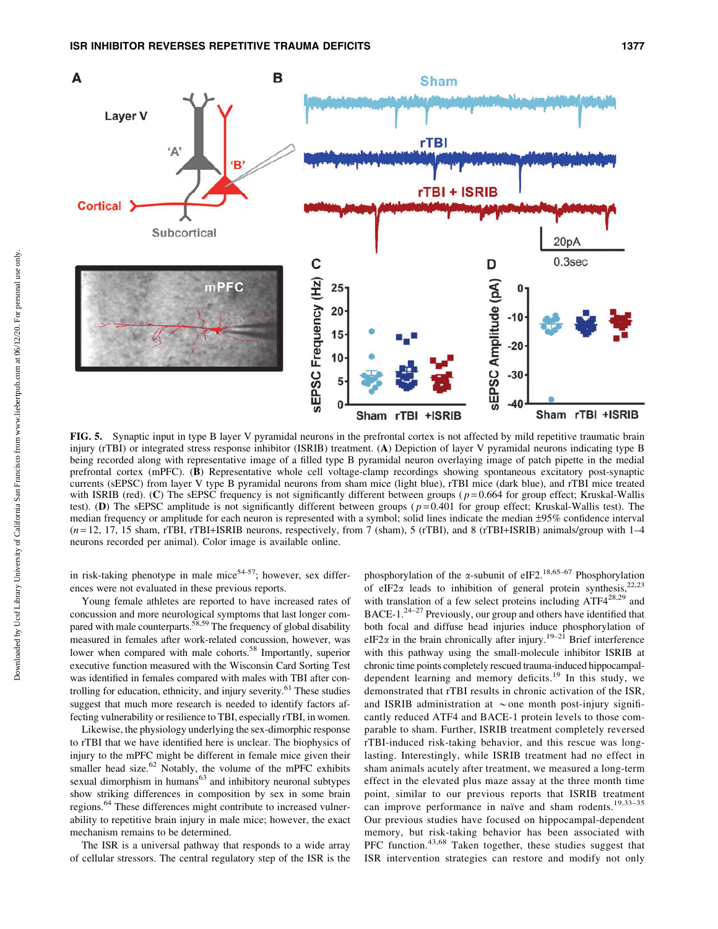

FIG. 5. Synaptic input in type B layer V pyramidal neurons in the prefrontal cortex is not affected by mild repetitive traumatic brain injury (rTBI) or integrated stress response inhibitor (ISRIB) treatment. (A) Depiction of layer V pyramidal neurons indicating type B being recorded along with representative image of a filled type B pyramidal neuron overlaying image of patch pipette in the medial prefrontal cortex (mPFC). (B) Representative whole cell voltage-clamp recordings showing spontaneous excitatory post-synaptic currents (sEPSC) from layer V type B pyramidal neurons from sham mice (light blue), rTBI mice (dark blue), and rTBI mice treated with ISRIB (red). (C) The sEPSC frequency is not significantly different between groups ( $p = 0.664$  for group effect; Kruskal-Wallis test). (D) The sEPSC amplitude is not significantly different between groups ( $p=0.401$  for group effect; Kruskal-Wallis test). The median frequency or amplitude for each neuron is represented with a symbol; solid lines indicate the median –95% confidence interval  $(n=12, 17, 15 \text{ sham}, \text{rTBI}, \text{rTBI+ISRIB neurons}, \text{respectively}, \text{from } 7 \text{ (sham)}, 5 \text{ (rTBI)}, \text{and } 8 \text{ (rTBI+ISRIB) animals/group with } 1-4 \text{ times}$ neurons recorded per animal). Color image is available online.

in risk-taking phenotype in male mice<sup>54-57</sup>; however, sex differences were not evaluated in these previous reports.

Young female athletes are reported to have increased rates of concussion and more neurological symptoms that last longer compared with male counterparts.<sup>58,59</sup> The frequency of global disability measured in females after work-related concussion, however, was lower when compared with male cohorts.<sup>58</sup> Importantly, superior executive function measured with the Wisconsin Card Sorting Test was identified in females compared with males with TBI after controlling for education, ethnicity, and injury severity.<sup>61</sup> These studies suggest that much more research is needed to identify factors affecting vulnerability or resilience to TBI, especially rTBI, in women.

Likewise, the physiology underlying the sex-dimorphic response to rTBI that we have identified here is unclear. The biophysics of injury to the mPFC might be different in female mice given their smaller head size. $62$  Notably, the volume of the mPFC exhibits sexual dimorphism in humans<sup>63</sup> and inhibitory neuronal subtypes show striking differences in composition by sex in some brain regions.<sup>64</sup> These differences might contribute to increased vulnerability to repetitive brain injury in male mice; however, the exact mechanism remains to be determined.

The ISR is a universal pathway that responds to a wide array of cellular stressors. The central regulatory step of the ISR is the

phosphorylation of the  $\alpha$ -subunit of eIF2.<sup>18,65–67</sup> Phosphorylation of eIF2 $\alpha$  leads to inhibition of general protein synthesis,<sup>22,23</sup> with translation of a few select proteins including ATF4<sup>28,29</sup> and BACE-1.24–27 Previously, our group and others have identified that both focal and diffuse head injuries induce phosphorylation of eIF2 $\alpha$  in the brain chronically after injury.<sup>19–21</sup> Brief interference with this pathway using the small-molecule inhibitor ISRIB at chronic time points completely rescued trauma-induced hippocampaldependent learning and memory deficits.<sup>19</sup> In this study, we demonstrated that rTBI results in chronic activation of the ISR, and ISRIB administration at  $\sim$  one month post-injury significantly reduced ATF4 and BACE-1 protein levels to those comparable to sham. Further, ISRIB treatment completely reversed rTBI-induced risk-taking behavior, and this rescue was longlasting. Interestingly, while ISRIB treatment had no effect in sham animals acutely after treatment, we measured a long-term effect in the elevated plus maze assay at the three month time point, similar to our previous reports that ISRIB treatment can improve performance in naïve and sham rodents.<sup>19,33-35</sup> Our previous studies have focused on hippocampal-dependent memory, but risk-taking behavior has been associated with PFC function.<sup>43,68</sup> Taken together, these studies suggest that ISR intervention strategies can restore and modify not only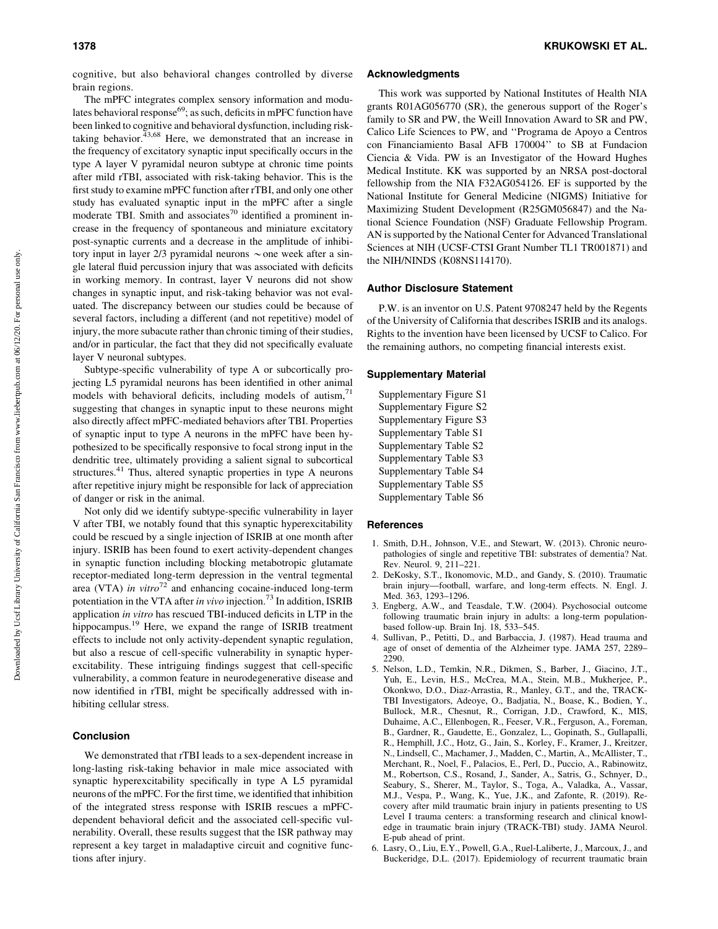cognitive, but also behavioral changes controlled by diverse brain regions.

The mPFC integrates complex sensory information and modulates behavioral response $69$ ; as such, deficits in mPFC function have been linked to cognitive and behavioral dysfunction, including risktaking behavior. $43,68$  Here, we demonstrated that an increase in the frequency of excitatory synaptic input specifically occurs in the type A layer V pyramidal neuron subtype at chronic time points after mild rTBI, associated with risk-taking behavior. This is the first study to examine mPFC function after rTBI, and only one other study has evaluated synaptic input in the mPFC after a single moderate TBI. Smith and associates<sup>70</sup> identified a prominent increase in the frequency of spontaneous and miniature excitatory post-synaptic currents and a decrease in the amplitude of inhibitory input in layer 2/3 pyramidal neurons  $\sim$  one week after a single lateral fluid percussion injury that was associated with deficits in working memory. In contrast, layer V neurons did not show changes in synaptic input, and risk-taking behavior was not evaluated. The discrepancy between our studies could be because of several factors, including a different (and not repetitive) model of injury, the more subacute rather than chronic timing of their studies, and/or in particular, the fact that they did not specifically evaluate layer V neuronal subtypes.

Subtype-specific vulnerability of type A or subcortically projecting L5 pyramidal neurons has been identified in other animal models with behavioral deficits, including models of autism,<sup>71</sup> suggesting that changes in synaptic input to these neurons might also directly affect mPFC-mediated behaviors after TBI. Properties of synaptic input to type A neurons in the mPFC have been hypothesized to be specifically responsive to focal strong input in the dendritic tree, ultimately providing a salient signal to subcortical structures.<sup>41</sup> Thus, altered synaptic properties in type A neurons after repetitive injury might be responsible for lack of appreciation of danger or risk in the animal.

Not only did we identify subtype-specific vulnerability in layer V after TBI, we notably found that this synaptic hyperexcitability could be rescued by a single injection of ISRIB at one month after injury. ISRIB has been found to exert activity-dependent changes in synaptic function including blocking metabotropic glutamate receptor-mediated long-term depression in the ventral tegmental area (VTA) in vitro<sup>72</sup> and enhancing cocaine-induced long-term potentiation in the VTA after in vivo injection.<sup>73</sup> In addition, ISRIB application in vitro has rescued TBI-induced deficits in LTP in the hippocampus.<sup>19</sup> Here, we expand the range of ISRIB treatment effects to include not only activity-dependent synaptic regulation, but also a rescue of cell-specific vulnerability in synaptic hyperexcitability. These intriguing findings suggest that cell-specific vulnerability, a common feature in neurodegenerative disease and now identified in rTBI, might be specifically addressed with inhibiting cellular stress.

## Conclusion

We demonstrated that rTBI leads to a sex-dependent increase in long-lasting risk-taking behavior in male mice associated with synaptic hyperexcitability specifically in type A L5 pyramidal neurons of the mPFC. For the first time, we identified that inhibition of the integrated stress response with ISRIB rescues a mPFCdependent behavioral deficit and the associated cell-specific vulnerability. Overall, these results suggest that the ISR pathway may represent a key target in maladaptive circuit and cognitive functions after injury.

#### Acknowledgments

This work was supported by National Institutes of Health NIA grants R01AG056770 (SR), the generous support of the Roger's family to SR and PW, the Weill Innovation Award to SR and PW, Calico Life Sciences to PW, and ''Programa de Apoyo a Centros con Financiamiento Basal AFB 170004'' to SB at Fundacion Ciencia & Vida. PW is an Investigator of the Howard Hughes Medical Institute. KK was supported by an NRSA post-doctoral fellowship from the NIA F32AG054126. EF is supported by the National Institute for General Medicine (NIGMS) Initiative for Maximizing Student Development (R25GM056847) and the National Science Foundation (NSF) Graduate Fellowship Program. AN is supported by the National Center for Advanced Translational Sciences at NIH (UCSF-CTSI Grant Number TL1 TR001871) and the NIH/NINDS (K08NS114170).

### Author Disclosure Statement

P.W. is an inventor on U.S. Patent 9708247 held by the Regents of the University of California that describes ISRIB and its analogs. Rights to the invention have been licensed by UCSF to Calico. For the remaining authors, no competing financial interests exist.

## Supplementary Material

| Supplementary Figure S1 |
|-------------------------|
| Supplementary Figure S2 |
| Supplementary Figure S3 |
| Supplementary Table S1  |
| Supplementary Table S2  |
| Supplementary Table S3  |
| Supplementary Table S4  |
| Supplementary Table S5  |
| Supplementary Table S6  |

#### References

- 1. Smith, D.H., Johnson, V.E., and Stewart, W. (2013). Chronic neuropathologies of single and repetitive TBI: substrates of dementia? Nat. Rev. Neurol. 9, 211–221.
- 2. DeKosky, S.T., Ikonomovic, M.D., and Gandy, S. (2010). Traumatic brain injury—football, warfare, and long-term effects. N. Engl. J. Med. 363, 1293–1296.
- 3. Engberg, A.W., and Teasdale, T.W. (2004). Psychosocial outcome following traumatic brain injury in adults: a long-term populationbased follow-up. Brain Inj. 18, 533–545.
- 4. Sullivan, P., Petitti, D., and Barbaccia, J. (1987). Head trauma and age of onset of dementia of the Alzheimer type. JAMA 257, 2289– 2290.
- 5. Nelson, L.D., Temkin, N.R., Dikmen, S., Barber, J., Giacino, J.T., Yuh, E., Levin, H.S., McCrea, M.A., Stein, M.B., Mukherjee, P., Okonkwo, D.O., Diaz-Arrastia, R., Manley, G.T., and the, TRACK-TBI Investigators, Adeoye, O., Badjatia, N., Boase, K., Bodien, Y., Bullock, M.R., Chesnut, R., Corrigan, J.D., Crawford, K., MIS, Duhaime, A.C., Ellenbogen, R., Feeser, V.R., Ferguson, A., Foreman, B., Gardner, R., Gaudette, E., Gonzalez, L., Gopinath, S., Gullapalli, R., Hemphill, J.C., Hotz, G., Jain, S., Korley, F., Kramer, J., Kreitzer, N., Lindsell, C., Machamer, J., Madden, C., Martin, A., McAllister, T., Merchant, R., Noel, F., Palacios, E., Perl, D., Puccio, A., Rabinowitz, M., Robertson, C.S., Rosand, J., Sander, A., Satris, G., Schnyer, D., Seabury, S., Sherer, M., Taylor, S., Toga, A., Valadka, A., Vassar, M.J., Vespa, P., Wang, K., Yue, J.K., and Zafonte, R. (2019). Recovery after mild traumatic brain injury in patients presenting to US Level I trauma centers: a transforming research and clinical knowledge in traumatic brain injury (TRACK-TBI) study. JAMA Neurol. E-pub ahead of print.
- 6. Lasry, O., Liu, E.Y., Powell, G.A., Ruel-Laliberte, J., Marcoux, J., and Buckeridge, D.L. (2017). Epidemiology of recurrent traumatic brain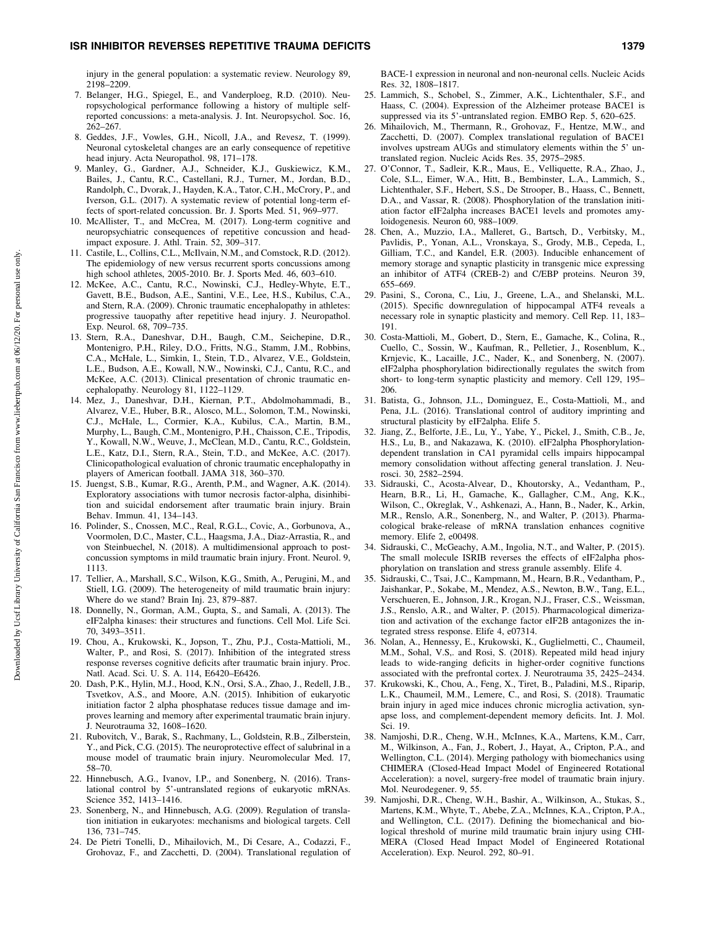## ISR INHIBITOR REVERSES REPETITIVE TRAUMA DEFICITS 1379

injury in the general population: a systematic review. Neurology 89, 2198–2209.

- 7. Belanger, H.G., Spiegel, E., and Vanderploeg, R.D. (2010). Neuropsychological performance following a history of multiple selfreported concussions: a meta-analysis. J. Int. Neuropsychol. Soc. 16, 262–267.
- 8. Geddes, J.F., Vowles, G.H., Nicoll, J.A., and Revesz, T. (1999). Neuronal cytoskeletal changes are an early consequence of repetitive head injury. Acta Neuropathol. 98, 171–178.
- 9. Manley, G., Gardner, A.J., Schneider, K.J., Guskiewicz, K.M., Bailes, J., Cantu, R.C., Castellani, R.J., Turner, M., Jordan, B.D., Randolph, C., Dvorak, J., Hayden, K.A., Tator, C.H., McCrory, P., and Iverson, G.L. (2017). A systematic review of potential long-term effects of sport-related concussion. Br. J. Sports Med. 51, 969–977.
- 10. McAllister, T., and McCrea, M. (2017). Long-term cognitive and neuropsychiatric consequences of repetitive concussion and headimpact exposure. J. Athl. Train. 52, 309–317.
- 11. Castile, L., Collins, C.L., McIlvain, N.M., and Comstock, R.D. (2012). The epidemiology of new versus recurrent sports concussions among high school athletes, 2005-2010. Br. J. Sports Med. 46, 603–610.
- 12. McKee, A.C., Cantu, R.C., Nowinski, C.J., Hedley-Whyte, E.T., Gavett, B.E., Budson, A.E., Santini, V.E., Lee, H.S., Kubilus, C.A., and Stern, R.A. (2009). Chronic traumatic encephalopathy in athletes: progressive tauopathy after repetitive head injury. J. Neuropathol. Exp. Neurol. 68, 709–735.
- 13. Stern, R.A., Daneshvar, D.H., Baugh, C.M., Seichepine, D.R., Montenigro, P.H., Riley, D.O., Fritts, N.G., Stamm, J.M., Robbins, C.A., McHale, L., Simkin, I., Stein, T.D., Alvarez, V.E., Goldstein, L.E., Budson, A.E., Kowall, N.W., Nowinski, C.J., Cantu, R.C., and McKee, A.C. (2013). Clinical presentation of chronic traumatic encephalopathy. Neurology 81, 1122–1129.
- 14. Mez, J., Daneshvar, D.H., Kiernan, P.T., Abdolmohammadi, B., Alvarez, V.E., Huber, B.R., Alosco, M.L., Solomon, T.M., Nowinski, C.J., McHale, L., Cormier, K.A., Kubilus, C.A., Martin, B.M., Murphy, L., Baugh, C.M., Montenigro, P.H., Chaisson, C.E., Tripodis, Y., Kowall, N.W., Weuve, J., McClean, M.D., Cantu, R.C., Goldstein, L.E., Katz, D.I., Stern, R.A., Stein, T.D., and McKee, A.C. (2017). Clinicopathological evaluation of chronic traumatic encephalopathy in players of American football. JAMA 318, 360–370.
- 15. Juengst, S.B., Kumar, R.G., Arenth, P.M., and Wagner, A.K. (2014). Exploratory associations with tumor necrosis factor-alpha, disinhibition and suicidal endorsement after traumatic brain injury. Brain Behav. Immun. 41, 134–143.
- 16. Polinder, S., Cnossen, M.C., Real, R.G.L., Covic, A., Gorbunova, A., Voormolen, D.C., Master, C.L., Haagsma, J.A., Diaz-Arrastia, R., and von Steinbuechel, N. (2018). A multidimensional approach to postconcussion symptoms in mild traumatic brain injury. Front. Neurol. 9, 1113.
- 17. Tellier, A., Marshall, S.C., Wilson, K.G., Smith, A., Perugini, M., and Stiell, I.G. (2009). The heterogeneity of mild traumatic brain injury: Where do we stand? Brain Inj. 23, 879–887.
- 18. Donnelly, N., Gorman, A.M., Gupta, S., and Samali, A. (2013). The eIF2alpha kinases: their structures and functions. Cell Mol. Life Sci. 70, 3493–3511.
- 19. Chou, A., Krukowski, K., Jopson, T., Zhu, P.J., Costa-Mattioli, M., Walter, P., and Rosi, S. (2017). Inhibition of the integrated stress response reverses cognitive deficits after traumatic brain injury. Proc. Natl. Acad. Sci. U. S. A. 114, E6420–E6426.
- 20. Dash, P.K., Hylin, M.J., Hood, K.N., Orsi, S.A., Zhao, J., Redell, J.B., Tsvetkov, A.S., and Moore, A.N. (2015). Inhibition of eukaryotic initiation factor 2 alpha phosphatase reduces tissue damage and improves learning and memory after experimental traumatic brain injury. J. Neurotrauma 32, 1608–1620.
- 21. Rubovitch, V., Barak, S., Rachmany, L., Goldstein, R.B., Zilberstein, Y., and Pick, C.G. (2015). The neuroprotective effect of salubrinal in a mouse model of traumatic brain injury. Neuromolecular Med. 17, 58–70.
- 22. Hinnebusch, A.G., Ivanov, I.P., and Sonenberg, N. (2016). Translational control by 5'-untranslated regions of eukaryotic mRNAs. Science 352, 1413–1416.
- 23. Sonenberg, N., and Hinnebusch, A.G. (2009). Regulation of translation initiation in eukaryotes: mechanisms and biological targets. Cell 136, 731–745.
- 24. De Pietri Tonelli, D., Mihailovich, M., Di Cesare, A., Codazzi, F., Grohovaz, F., and Zacchetti, D. (2004). Translational regulation of

BACE-1 expression in neuronal and non-neuronal cells. Nucleic Acids Res. 32, 1808–1817.

- 25. Lammich, S., Schobel, S., Zimmer, A.K., Lichtenthaler, S.F., and Haass, C. (2004). Expression of the Alzheimer protease BACE1 is suppressed via its 5'-untranslated region. EMBO Rep. 5, 620–625.
- 26. Mihailovich, M., Thermann, R., Grohovaz, F., Hentze, M.W., and Zacchetti, D. (2007). Complex translational regulation of BACE1 involves upstream AUGs and stimulatory elements within the 5' untranslated region. Nucleic Acids Res. 35, 2975–2985.
- 27. O'Connor, T., Sadleir, K.R., Maus, E., Velliquette, R.A., Zhao, J., Cole, S.L., Eimer, W.A., Hitt, B., Bembinster, L.A., Lammich, S., Lichtenthaler, S.F., Hebert, S.S., De Strooper, B., Haass, C., Bennett, D.A., and Vassar, R. (2008). Phosphorylation of the translation initiation factor eIF2alpha increases BACE1 levels and promotes amyloidogenesis. Neuron 60, 988–1009.
- 28. Chen, A., Muzzio, I.A., Malleret, G., Bartsch, D., Verbitsky, M., Pavlidis, P., Yonan, A.L., Vronskaya, S., Grody, M.B., Cepeda, I., Gilliam, T.C., and Kandel, E.R. (2003). Inducible enhancement of memory storage and synaptic plasticity in transgenic mice expressing an inhibitor of ATF4 (CREB-2) and C/EBP proteins. Neuron 39, 655–669.
- 29. Pasini, S., Corona, C., Liu, J., Greene, L.A., and Shelanski, M.L. (2015). Specific downregulation of hippocampal ATF4 reveals a necessary role in synaptic plasticity and memory. Cell Rep. 11, 183– 191.
- 30. Costa-Mattioli, M., Gobert, D., Stern, E., Gamache, K., Colina, R., Cuello, C., Sossin, W., Kaufman, R., Pelletier, J., Rosenblum, K., Krnjevic, K., Lacaille, J.C., Nader, K., and Sonenberg, N. (2007). eIF2alpha phosphorylation bidirectionally regulates the switch from short- to long-term synaptic plasticity and memory. Cell 129, 195– 206.
- 31. Batista, G., Johnson, J.L., Dominguez, E., Costa-Mattioli, M., and Pena, J.L. (2016). Translational control of auditory imprinting and structural plasticity by eIF2alpha. Elife 5.
- 32. Jiang, Z., Belforte, J.E., Lu, Y., Yabe, Y., Pickel, J., Smith, C.B., Je, H.S., Lu, B., and Nakazawa, K. (2010). eIF2alpha Phosphorylationdependent translation in CA1 pyramidal cells impairs hippocampal memory consolidation without affecting general translation. J. Neurosci. 30, 2582–2594.
- 33. Sidrauski, C., Acosta-Alvear, D., Khoutorsky, A., Vedantham, P., Hearn, B.R., Li, H., Gamache, K., Gallagher, C.M., Ang, K.K., Wilson, C., Okreglak, V., Ashkenazi, A., Hann, B., Nader, K., Arkin, M.R., Renslo, A.R., Sonenberg, N., and Walter, P. (2013). Pharmacological brake-release of mRNA translation enhances cognitive memory. Elife 2, e00498.
- 34. Sidrauski, C., McGeachy, A.M., Ingolia, N.T., and Walter, P. (2015). The small molecule ISRIB reverses the effects of eIF2alpha phosphorylation on translation and stress granule assembly. Elife 4.
- 35. Sidrauski, C., Tsai, J.C., Kampmann, M., Hearn, B.R., Vedantham, P., Jaishankar, P., Sokabe, M., Mendez, A.S., Newton, B.W., Tang, E.L., Verschueren, E., Johnson, J.R., Krogan, N.J., Fraser, C.S., Weissman, J.S., Renslo, A.R., and Walter, P. (2015). Pharmacological dimerization and activation of the exchange factor eIF2B antagonizes the integrated stress response. Elife 4, e07314.
- 36. Nolan, A., Hennessy, E., Krukowski, K., Guglielmetti, C., Chaumeil, M.M., Sohal, V.S,. and Rosi, S. (2018). Repeated mild head injury leads to wide-ranging deficits in higher-order cognitive functions associated with the prefrontal cortex. J. Neurotrauma 35, 2425–2434.
- 37. Krukowski, K., Chou, A., Feng, X., Tiret, B., Paladini, M.S., Riparip, L.K., Chaumeil, M.M., Lemere, C., and Rosi, S. (2018). Traumatic brain injury in aged mice induces chronic microglia activation, synapse loss, and complement-dependent memory deficits. Int. J. Mol. Sci. 19.
- 38. Namjoshi, D.R., Cheng, W.H., McInnes, K.A., Martens, K.M., Carr, M., Wilkinson, A., Fan, J., Robert, J., Hayat, A., Cripton, P.A., and Wellington, C.L. (2014). Merging pathology with biomechanics using CHIMERA (Closed-Head Impact Model of Engineered Rotational Acceleration): a novel, surgery-free model of traumatic brain injury. Mol. Neurodegener. 9, 55.
- 39. Namjoshi, D.R., Cheng, W.H., Bashir, A., Wilkinson, A., Stukas, S., Martens, K.M., Whyte, T., Abebe, Z.A., McInnes, K.A., Cripton, P.A., and Wellington, C.L. (2017). Defining the biomechanical and biological threshold of murine mild traumatic brain injury using CHI-MERA (Closed Head Impact Model of Engineered Rotational Acceleration). Exp. Neurol. 292, 80–91.